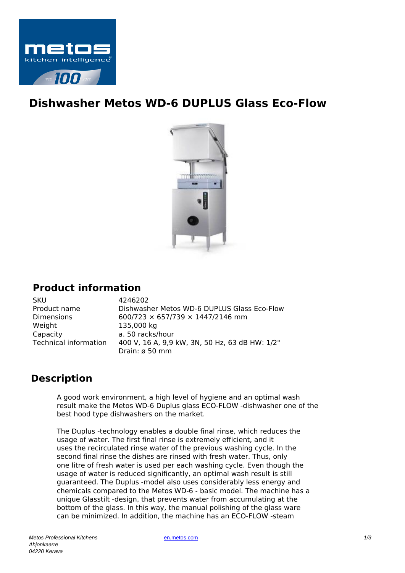

## **Dishwasher Metos WD-6 DUPLUS Glass Eco-Flow**



## **Product information**

| <b>SKU</b>                   | 4246202                                        |
|------------------------------|------------------------------------------------|
| Product name                 | Dishwasher Metos WD-6 DUPLUS Glass Eco-Flow    |
| <b>Dimensions</b>            | 600/723 $\times$ 657/739 $\times$ 1447/2146 mm |
| Weight                       | 135,000 kg                                     |
| Capacity                     | a. 50 racks/hour                               |
| <b>Technical information</b> | 400 V, 16 A, 9,9 kW, 3N, 50 Hz, 63 dB HW: 1/2" |
|                              | Drain: ø 50 mm                                 |

## **Description**

A good work environment, a high level of hygiene and an optimal wash result make the Metos WD-6 Duplus glass ECO-FLOW -dishwasher one of the best hood type dishwashers on the market.

The Duplus -technology enables a double final rinse, which reduces the usage of water. The first final rinse is extremely efficient, and it uses the recirculated rinse water of the previous washing cycle. In the second final rinse the dishes are rinsed with fresh water. Thus, only one litre of fresh water is used per each washing cycle. Even though the usage of water is reduced significantly, an optimal wash result is still guaranteed. The Duplus -model also uses considerably less energy and chemicals compared to the Metos WD-6 - basic model. The machine has a unique Glasstilt -design, that prevents water from accumulating at the bottom of the glass. In this way, the manual polishing of the glass ware can be minimized. In addition, the machine has an ECO-FLOW -steam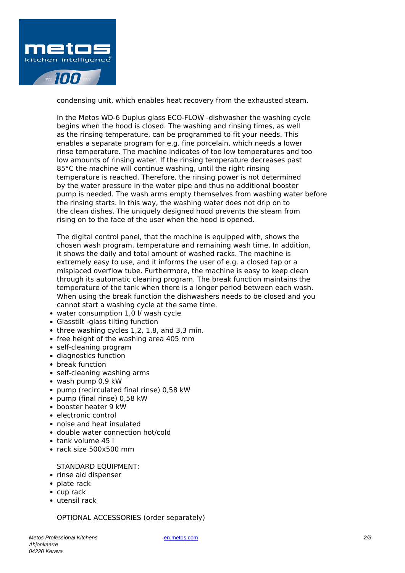

condensing unit, which enables heat recovery from the exhausted steam.

In the Metos WD-6 Duplus glass ECO-FLOW -dishwasher the washing cycle begins when the hood is closed. The washing and rinsing times, as well as the rinsing temperature, can be programmed to fit your needs. This enables a separate program for e.g. fine porcelain, which needs a lower rinse temperature. The machine indicates of too low temperatures and too low amounts of rinsing water. If the rinsing temperature decreases past 85°C the machine will continue washing, until the right rinsing temperature is reached. Therefore, the rinsing power is not determined by the water pressure in the water pipe and thus no additional booster pump is needed. The wash arms empty themselves from washing water before the rinsing starts. In this way, the washing water does not drip on to the clean dishes. The uniquely designed hood prevents the steam from rising on to the face of the user when the hood is opened.

The digital control panel, that the machine is equipped with, shows the chosen wash program, temperature and remaining wash time. In addition, it shows the daily and total amount of washed racks. The machine is extremely easy to use, and it informs the user of e.g. a closed tap or a misplaced overflow tube. Furthermore, the machine is easy to keep clean through its automatic cleaning program. The break function maintains the temperature of the tank when there is a longer period between each wash. When using the break function the dishwashers needs to be closed and you cannot start a washing cycle at the same time.

- water consumption 1,0 l/ wash cycle
- Glasstilt -glass tilting function
- $\bullet$  three washing cycles 1,2, 1,8, and 3,3 min.
- free height of the washing area 405 mm
- self-cleaning program
- diagnostics function
- break function
- self-cleaning washing arms
- wash pump 0,9 kW
- pump (recirculated final rinse) 0,58 kW
- pump (final rinse) 0,58 kW
- booster heater 9 kW
- electronic control
- noise and heat insulated
- double water connection hot/cold
- tank volume 45 l
- $\cdot$  rack size 500x500 mm

STANDARD EQUIPMENT:

- rinse aid dispenser
- plate rack
- cup rack
- utensil rack

OPTIONAL ACCESSORIES (order separately)